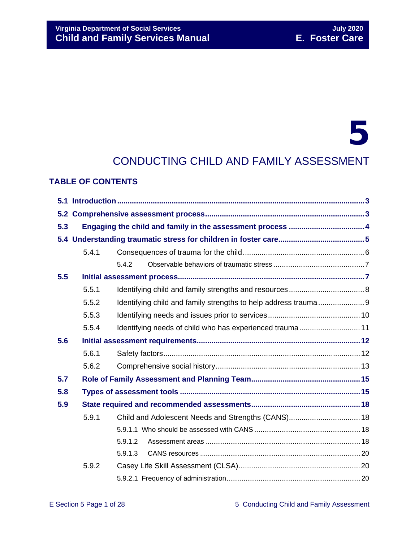# **Virginia Department of Social Services**<br> **Child and Family Services Manual Child and Family Services Manual Child and Family Services Manual Child and Family Services Manual**

# 5

# CONDUCTING CHILD AND FAMILY ASSESSMENT

#### **TABLE OF CONTENTS**

| 5.3 |       |                                                          |  |  |
|-----|-------|----------------------------------------------------------|--|--|
|     |       |                                                          |  |  |
|     | 5.4.1 |                                                          |  |  |
|     |       | 5.4.2                                                    |  |  |
| 5.5 |       |                                                          |  |  |
|     | 5.5.1 |                                                          |  |  |
|     | 5.5.2 |                                                          |  |  |
|     | 5.5.3 |                                                          |  |  |
|     | 5.5.4 | Identifying needs of child who has experienced trauma 11 |  |  |
| 5.6 |       |                                                          |  |  |
|     | 5.6.1 |                                                          |  |  |
|     | 5.6.2 |                                                          |  |  |
| 5.7 |       |                                                          |  |  |
| 5.8 |       |                                                          |  |  |
| 5.9 |       |                                                          |  |  |
|     | 5.9.1 | Child and Adolescent Needs and Strengths (CANS) 18       |  |  |
|     |       |                                                          |  |  |
|     |       | 5.9.1.2                                                  |  |  |
|     |       | 5.9.1.3                                                  |  |  |
|     | 5.9.2 |                                                          |  |  |
|     |       |                                                          |  |  |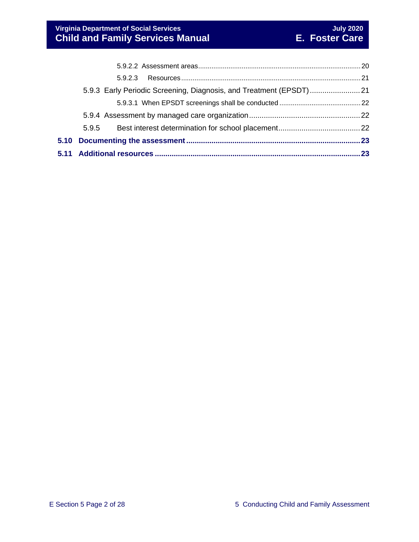| 5.9.5                                                                |  |
|----------------------------------------------------------------------|--|
|                                                                      |  |
|                                                                      |  |
| 5.9.3 Early Periodic Screening, Diagnosis, and Treatment (EPSDT)  21 |  |
|                                                                      |  |
|                                                                      |  |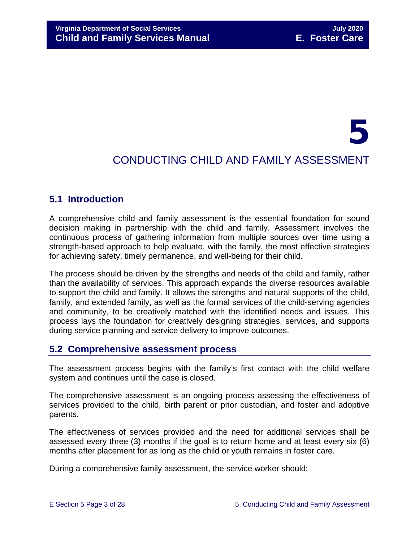# 5 CONDUCTING CHILD AND FAMILY ASSESSMENT

# <span id="page-2-0"></span>**5.1 Introduction**

A comprehensive child and family assessment is the essential foundation for sound decision making in partnership with the child and family. Assessment involves the continuous process of gathering information from multiple sources over time using a strength-based approach to help evaluate, with the family, the most effective strategies for achieving safety, timely permanence, and well-being for their child.

The process should be driven by the strengths and needs of the child and family, rather than the availability of services. This approach expands the diverse resources available to support the child and family. It allows the strengths and natural supports of the child, family, and extended family, as well as the formal services of the child-serving agencies and community, to be creatively matched with the identified needs and issues. This process lays the foundation for creatively designing strategies, services, and supports during service planning and service delivery to improve outcomes.

# <span id="page-2-1"></span>**5.2 Comprehensive assessment process**

The assessment process begins with the family's first contact with the child welfare system and continues until the case is closed.

The comprehensive assessment is an ongoing process assessing the effectiveness of services provided to the child, birth parent or prior custodian, and foster and adoptive parents.

The effectiveness of services provided and the need for additional services shall be assessed every three (3) months if the goal is to return home and at least every six (6) months after placement for as long as the child or youth remains in foster care.

During a comprehensive family assessment, the service worker should: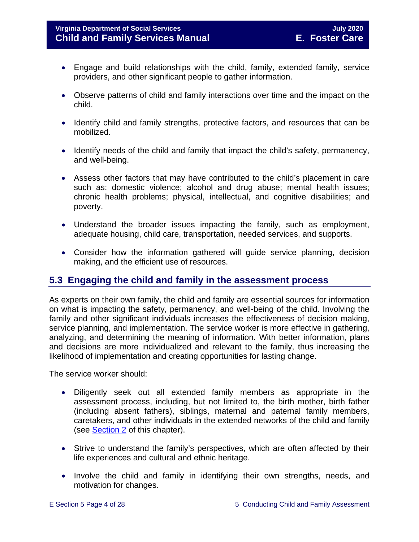- Engage and build relationships with the child, family, extended family, service providers, and other significant people to gather information.
- Observe patterns of child and family interactions over time and the impact on the child.
- Identify child and family strengths, protective factors, and resources that can be mobilized.
- Identify needs of the child and family that impact the child's safety, permanency, and well-being.
- Assess other factors that may have contributed to the child's placement in care such as: domestic violence; alcohol and drug abuse; mental health issues; chronic health problems; physical, intellectual, and cognitive disabilities; and poverty.
- Understand the broader issues impacting the family, such as employment, adequate housing, child care, transportation, needed services, and supports.
- Consider how the information gathered will guide service planning, decision making, and the efficient use of resources.

# <span id="page-3-0"></span>**5.3 Engaging the child and family in the assessment process**

As experts on their own family, the child and family are essential sources for information on what is impacting the safety, permanency, and well-being of the child. Involving the family and other significant individuals increases the effectiveness of decision making, service planning, and implementation. The service worker is more effective in gathering, analyzing, and determining the meaning of information. With better information, plans and decisions are more individualized and relevant to the family, thus increasing the likelihood of implementation and creating opportunities for lasting change.

The service worker should:

- Diligently seek out all extended family members as appropriate in the assessment process, including, but not limited to, the birth mother, birth father (including absent fathers), siblings, maternal and paternal family members, caretakers, and other individuals in the extended networks of the child and family (see [Section 2](https://fusion.dss.virginia.gov/Portals/%5bdfs%5d/Files/DFS%20Manuals/Foster%20Care%20Manuals/Foster%20Care%20Manual%2007-2020/Final%20Foster%20Care%20Manual%2007-2020/section_2_engaging_the_child_family_and_significant_adults.pdf) of this chapter).
- Strive to understand the family's perspectives, which are often affected by their life experiences and cultural and ethnic heritage.
- Involve the child and family in identifying their own strengths, needs, and motivation for changes.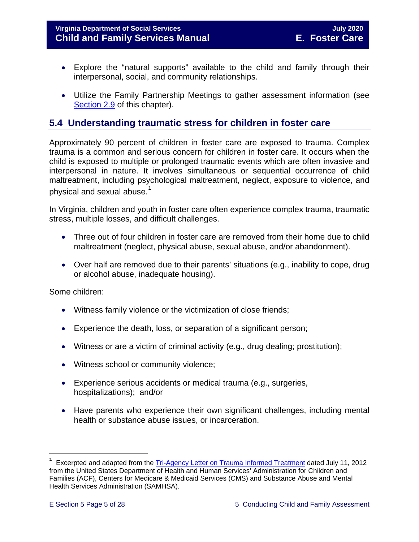#### **Virginia Department of Social Services July 2020 Child and Family Services Manual E. Foster Care**

- Explore the "natural supports" available to the child and family through their interpersonal, social, and community relationships.
- Utilize the Family Partnership Meetings to gather assessment information (see [Section 2.9](https://fusion.dss.virginia.gov/Portals/%5bdfs%5d/Files/DFS%20Manuals/Foster%20Care%20Manuals/Foster%20Care%20Manual%2007-2020/Final%20Foster%20Care%20Manual%2007-2020/section_2_engaging_the_child_family_and_significant_adults.pdf#page=19) of this chapter).

# <span id="page-4-0"></span>**5.4 Understanding traumatic stress for children in foster care**

Approximately 90 percent of children in foster care are exposed to trauma. Complex trauma is a common and serious concern for children in foster care. It occurs when the child is exposed to multiple or prolonged traumatic events which are often invasive and interpersonal in nature. It involves simultaneous or sequential occurrence of child maltreatment, including psychological maltreatment, neglect, exposure to violence, and physical and sexual abuse. $^{\rm 1}$  $^{\rm 1}$  $^{\rm 1}$ 

In Virginia, children and youth in foster care often experience complex trauma, traumatic stress, multiple losses, and difficult challenges.

- Three out of four children in foster care are removed from their home due to child maltreatment (neglect, physical abuse, sexual abuse, and/or abandonment).
- Over half are removed due to their parents' situations (e.g., inability to cope, drug or alcohol abuse, inadequate housing).

Some children:

- Witness family violence or the victimization of close friends;
- Experience the death, loss, or separation of a significant person;
- Witness or are a victim of criminal activity (e.g., drug dealing; prostitution);
- Witness school or community violence;
- Experience serious accidents or medical trauma (e.g., surgeries, hospitalizations); and/or
- Have parents who experience their own significant challenges, including mental health or substance abuse issues, or incarceration.

t

<span id="page-4-1"></span>Excerpted and adapted from the [Tri-Agency Letter on Trauma Informed Treatment](http://www.medicaid.gov/Federal-Policy-Guidance/Downloads/SMD-13-07-11.pdf) dated July 11, 2012 from the United States Department of Health and Human Services' Administration for Children and Families (ACF), Centers for Medicare & Medicaid Services (CMS) and Substance Abuse and Mental Health Services Administration (SAMHSA).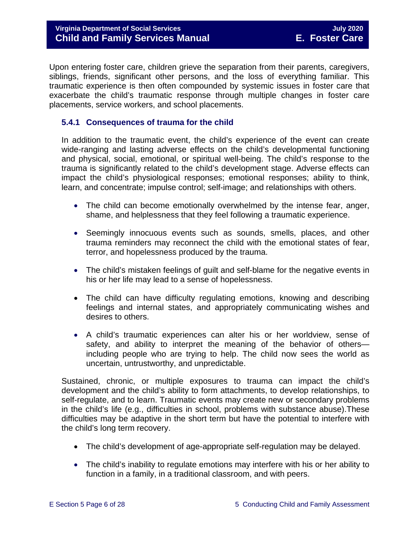Upon entering foster care, children grieve the separation from their parents, caregivers, siblings, friends, significant other persons, and the loss of everything familiar. This traumatic experience is then often compounded by systemic issues in foster care that exacerbate the child's traumatic response through multiple changes in foster care placements, service workers, and school placements.

#### <span id="page-5-0"></span>**5.4.1 Consequences of trauma for the child**

In addition to the traumatic event, the child's experience of the event can create wide-ranging and lasting adverse effects on the child's developmental functioning and physical, social, emotional, or spiritual well-being. The child's response to the trauma is significantly related to the child's development stage. Adverse effects can impact the child's physiological responses; emotional responses; ability to think, learn, and concentrate; impulse control; self-image; and relationships with others.

- The child can become emotionally overwhelmed by the intense fear, anger, shame, and helplessness that they feel following a traumatic experience.
- Seemingly innocuous events such as sounds, smells, places, and other trauma reminders may reconnect the child with the emotional states of fear, terror, and hopelessness produced by the trauma.
- The child's mistaken feelings of guilt and self-blame for the negative events in his or her life may lead to a sense of hopelessness.
- The child can have difficulty regulating emotions, knowing and describing feelings and internal states, and appropriately communicating wishes and desires to others.
- A child's traumatic experiences can alter his or her worldview, sense of safety, and ability to interpret the meaning of the behavior of others including people who are trying to help. The child now sees the world as uncertain, untrustworthy, and unpredictable.

Sustained, chronic, or multiple exposures to trauma can impact the child's development and the child's ability to form attachments, to develop relationships, to self-regulate, and to learn. Traumatic events may create new or secondary problems in the child's life (e.g., difficulties in school, problems with substance abuse).These difficulties may be adaptive in the short term but have the potential to interfere with the child's long term recovery.

- The child's development of age-appropriate self-regulation may be delayed.
- The child's inability to regulate emotions may interfere with his or her ability to function in a family, in a traditional classroom, and with peers.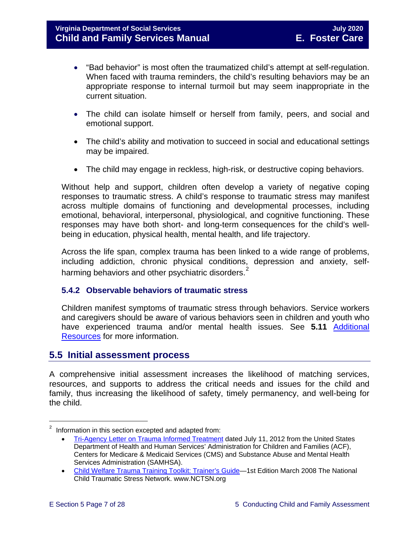- "Bad behavior" is most often the traumatized child's attempt at self-regulation. When faced with trauma reminders, the child's resulting behaviors may be an appropriate response to internal turmoil but may seem inappropriate in the current situation.
- The child can isolate himself or herself from family, peers, and social and emotional support.
- The child's ability and motivation to succeed in social and educational settings may be impaired.
- The child may engage in reckless, high-risk, or destructive coping behaviors.

Without help and support, children often develop a variety of negative coping responses to traumatic stress. A child's response to traumatic stress may manifest across multiple domains of functioning and developmental processes, including emotional, behavioral, interpersonal, physiological, and cognitive functioning. These responses may have both short- and long-term consequences for the child's wellbeing in education, physical health, mental health, and life trajectory.

Across the life span, complex trauma has been linked to a wide range of problems, including addiction, chronic physical conditions, depression and anxiety, selfharming behaviors and other psychiatric disorders. $^{\text{2}}$  $^{\text{2}}$  $^{\text{2}}$ 

#### <span id="page-6-0"></span>**5.4.2 Observable behaviors of traumatic stress**

Children manifest symptoms of traumatic stress through behaviors. Service workers and caregivers should be aware of various behaviors seen in children and youth who have experienced trauma and/or mental health issues. See **5.11** [Additional](#page-22-1)  [Resources](#page-22-1) for more information.

# <span id="page-6-1"></span>**5.5 Initial assessment process**

A comprehensive initial assessment increases the likelihood of matching services, resources, and supports to address the critical needs and issues for the child and family, thus increasing the likelihood of safety, timely permanency, and well-being for the child.

Ĩ.

<span id="page-6-2"></span> $2$  Information in this section excepted and adapted from:

<sup>•</sup> [Tri-Agency Letter on Trauma Informed Treatment](http://www.medicaid.gov/Federal-Policy-Guidance/Downloads/SMD-13-07-11.pdf) dated July 11, 2012 from the United States Department of Health and Human Services' Administration for Children and Families (ACF), Centers for Medicare & Medicaid Services (CMS) and Substance Abuse and Mental Health Services Administration (SAMHSA).

<sup>•</sup> [Child Welfare Trauma Training Toolkit: Trainer's Guide—](http://www.nctsn.org/nctsn_assets/pdfs/CWT3_TrainersGuide.pdf)1st Edition March 2008 The National Child Traumatic Stress Network. www.NCTSN.org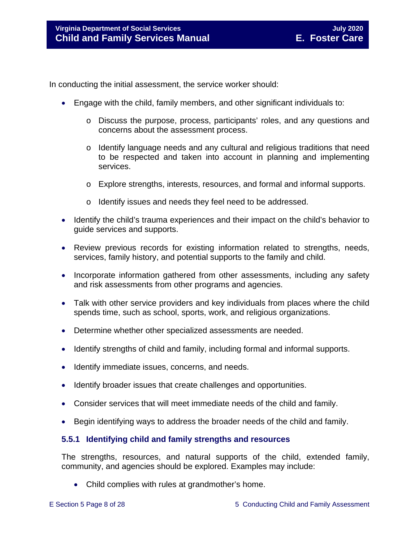In conducting the initial assessment, the service worker should:

- Engage with the child, family members, and other significant individuals to:
	- o Discuss the purpose, process, participants' roles, and any questions and concerns about the assessment process.
	- o Identify language needs and any cultural and religious traditions that need to be respected and taken into account in planning and implementing services.
	- o Explore strengths, interests, resources, and formal and informal supports.
	- o Identify issues and needs they feel need to be addressed.
- Identify the child's trauma experiences and their impact on the child's behavior to guide services and supports.
- Review previous records for existing information related to strengths, needs, services, family history, and potential supports to the family and child.
- Incorporate information gathered from other assessments, including any safety and risk assessments from other programs and agencies.
- Talk with other service providers and key individuals from places where the child spends time, such as school, sports, work, and religious organizations.
- Determine whether other specialized assessments are needed.
- Identify strengths of child and family, including formal and informal supports.
- Identify immediate issues, concerns, and needs.
- Identify broader issues that create challenges and opportunities.
- Consider services that will meet immediate needs of the child and family.
- Begin identifying ways to address the broader needs of the child and family.

#### <span id="page-7-0"></span>**5.5.1 Identifying child and family strengths and resources**

The strengths, resources, and natural supports of the child, extended family, community, and agencies should be explored. Examples may include:

• Child complies with rules at grandmother's home.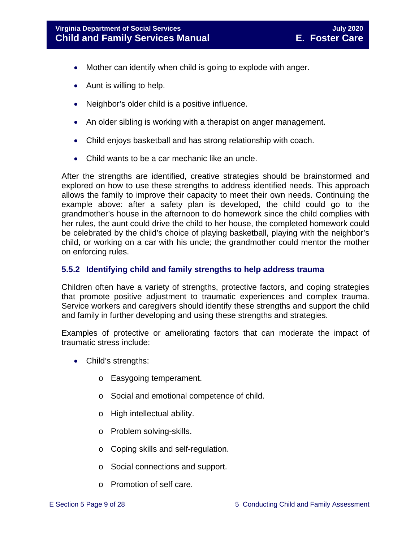- Mother can identify when child is going to explode with anger.
- Aunt is willing to help.
- Neighbor's older child is a positive influence.
- An older sibling is working with a therapist on anger management.
- Child enjoys basketball and has strong relationship with coach.
- Child wants to be a car mechanic like an uncle.

After the strengths are identified, creative strategies should be brainstormed and explored on how to use these strengths to address identified needs. This approach allows the family to improve their capacity to meet their own needs. Continuing the example above: after a safety plan is developed, the child could go to the grandmother's house in the afternoon to do homework since the child complies with her rules, the aunt could drive the child to her house, the completed homework could be celebrated by the child's choice of playing basketball, playing with the neighbor's child, or working on a car with his uncle; the grandmother could mentor the mother on enforcing rules.

#### <span id="page-8-0"></span>**5.5.2 Identifying child and family strengths to help address trauma**

Children often have a variety of strengths, protective factors, and coping strategies that promote positive adjustment to traumatic experiences and complex trauma. Service workers and caregivers should identify these strengths and support the child and family in further developing and using these strengths and strategies.

Examples of protective or ameliorating factors that can moderate the impact of traumatic stress include:

- Child's strengths:
	- o Easygoing temperament.
	- o Social and emotional competence of child.
	- o High intellectual ability.
	- o Problem solving-skills.
	- o Coping skills and self-regulation.
	- o Social connections and support.
	- o Promotion of self care.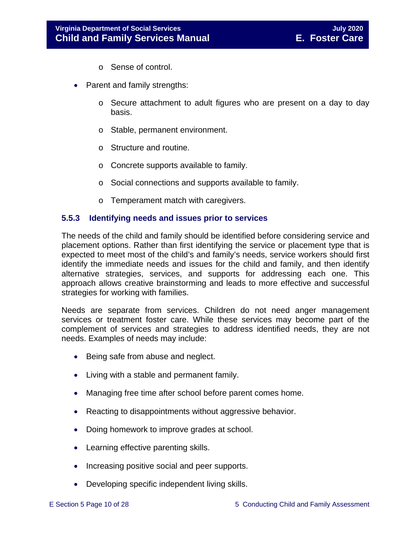- o Sense of control.
- Parent and family strengths:
	- $\circ$  Secure attachment to adult figures who are present on a day to day basis.
	- o Stable, permanent environment.
	- o Structure and routine.
	- o Concrete supports available to family.
	- o Social connections and supports available to family.
	- o Temperament match with caregivers.

#### <span id="page-9-0"></span>**5.5.3 Identifying needs and issues prior to services**

The needs of the child and family should be identified before considering service and placement options. Rather than first identifying the service or placement type that is expected to meet most of the child's and family's needs, service workers should first identify the immediate needs and issues for the child and family, and then identify alternative strategies, services, and supports for addressing each one. This approach allows creative brainstorming and leads to more effective and successful strategies for working with families.

Needs are separate from services. Children do not need anger management services or treatment foster care. While these services may become part of the complement of services and strategies to address identified needs, they are not needs. Examples of needs may include:

- Being safe from abuse and neglect.
- Living with a stable and permanent family.
- Managing free time after school before parent comes home.
- Reacting to disappointments without aggressive behavior.
- Doing homework to improve grades at school.
- Learning effective parenting skills.
- Increasing positive social and peer supports.
- Developing specific independent living skills.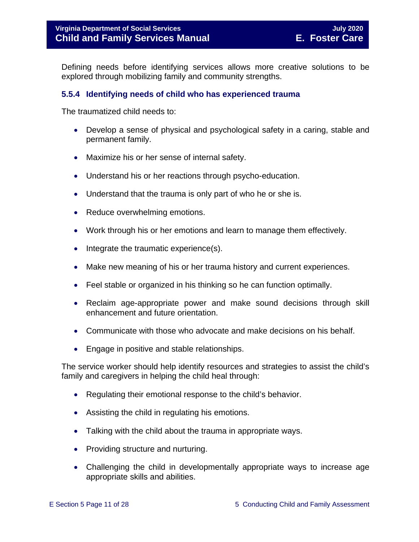Defining needs before identifying services allows more creative solutions to be explored through mobilizing family and community strengths.

#### <span id="page-10-0"></span>**5.5.4 Identifying needs of child who has experienced trauma**

The traumatized child needs to:

- Develop a sense of physical and psychological safety in a caring, stable and permanent family.
- Maximize his or her sense of internal safety.
- Understand his or her reactions through psycho-education.
- Understand that the trauma is only part of who he or she is.
- Reduce overwhelming emotions.
- Work through his or her emotions and learn to manage them effectively.
- Integrate the traumatic experience(s).
- Make new meaning of his or her trauma history and current experiences.
- Feel stable or organized in his thinking so he can function optimally.
- Reclaim age-appropriate power and make sound decisions through skill enhancement and future orientation.
- Communicate with those who advocate and make decisions on his behalf.
- Engage in positive and stable relationships.

The service worker should help identify resources and strategies to assist the child's family and caregivers in helping the child heal through:

- Regulating their emotional response to the child's behavior.
- Assisting the child in regulating his emotions.
- Talking with the child about the trauma in appropriate ways.
- Providing structure and nurturing.
- Challenging the child in developmentally appropriate ways to increase age appropriate skills and abilities.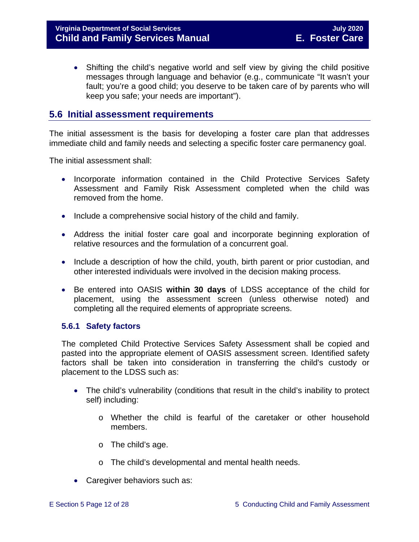• Shifting the child's negative world and self view by giving the child positive messages through language and behavior (e.g., communicate "It wasn't your fault; you're a good child; you deserve to be taken care of by parents who will keep you safe; your needs are important").

# <span id="page-11-0"></span>**5.6 Initial assessment requirements**

The initial assessment is the basis for developing a foster care plan that addresses immediate child and family needs and selecting a specific foster care permanency goal.

The initial assessment shall:

- Incorporate information contained in the Child Protective Services Safety Assessment and Family Risk Assessment completed when the child was removed from the home.
- Include a comprehensive social history of the child and family.
- Address the initial foster care goal and incorporate beginning exploration of relative resources and the formulation of a concurrent goal.
- Include a description of how the child, youth, birth parent or prior custodian, and other interested individuals were involved in the decision making process.
- Be entered into OASIS **within 30 days** of LDSS acceptance of the child for placement, using the assessment screen (unless otherwise noted) and completing all the required elements of appropriate screens.

#### <span id="page-11-1"></span>**5.6.1 Safety factors**

The completed Child Protective Services Safety Assessment shall be copied and pasted into the appropriate element of OASIS assessment screen. Identified safety factors shall be taken into consideration in transferring the child's custody or placement to the LDSS such as:

- The child's vulnerability (conditions that result in the child's inability to protect self) including:
	- o Whether the child is fearful of the caretaker or other household members.
	- o The child's age.
	- o The child's developmental and mental health needs.
- Caregiver behaviors such as: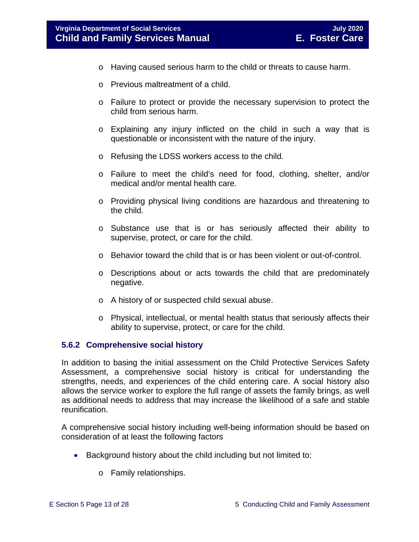- o Having caused serious harm to the child or threats to cause harm.
- o Previous maltreatment of a child.
- o Failure to protect or provide the necessary supervision to protect the child from serious harm.
- o Explaining any injury inflicted on the child in such a way that is questionable or inconsistent with the nature of the injury.
- o Refusing the LDSS workers access to the child.
- o Failure to meet the child's need for food, clothing, shelter, and/or medical and/or mental health care.
- o Providing physical living conditions are hazardous and threatening to the child.
- o Substance use that is or has seriously affected their ability to supervise, protect, or care for the child.
- o Behavior toward the child that is or has been violent or out-of-control.
- o Descriptions about or acts towards the child that are predominately negative.
- o A history of or suspected child sexual abuse.
- o Physical, intellectual, or mental health status that seriously affects their ability to supervise, protect, or care for the child.

#### <span id="page-12-0"></span>**5.6.2 Comprehensive social history**

In addition to basing the initial assessment on the Child Protective Services Safety Assessment, a comprehensive social history is critical for understanding the strengths, needs, and experiences of the child entering care. A social history also allows the service worker to explore the full range of assets the family brings, as well as additional needs to address that may increase the likelihood of a safe and stable reunification.

A comprehensive social history including well-being information should be based on consideration of at least the following factors

- Background history about the child including but not limited to:
	- o Family relationships.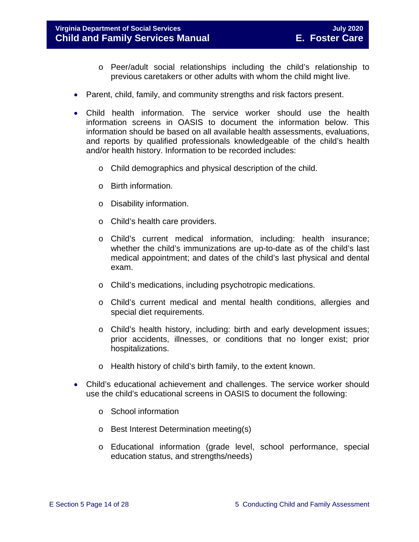#### **Virginia Department of Social Services July 2020 Child and Family Services Manual E. Foster Care**

- o Peer/adult social relationships including the child's relationship to previous caretakers or other adults with whom the child might live.
- Parent, child, family, and community strengths and risk factors present.
- Child health information. The service worker should use the health information screens in OASIS to document the information below. This information should be based on all available health assessments, evaluations, and reports by qualified professionals knowledgeable of the child's health and/or health history. Information to be recorded includes:
	- o Child demographics and physical description of the child.
	- o Birth information.
	- o Disability information.
	- o Child's health care providers.
	- o Child's current medical information, including: health insurance; whether the child's immunizations are up-to-date as of the child's last medical appointment; and dates of the child's last physical and dental exam.
	- o Child's medications, including psychotropic medications.
	- o Child's current medical and mental health conditions, allergies and special diet requirements.
	- o Child's health history, including: birth and early development issues; prior accidents, illnesses, or conditions that no longer exist; prior hospitalizations.
	- o Health history of child's birth family, to the extent known.
- Child's educational achievement and challenges. The service worker should use the child's educational screens in OASIS to document the following:
	- o School information
	- o Best Interest Determination meeting(s)
	- o Educational information (grade level, school performance, special education status, and strengths/needs)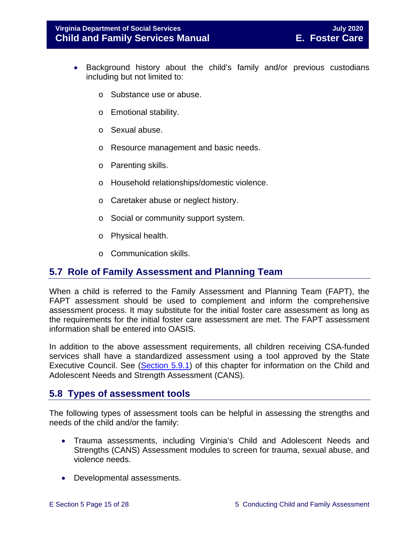- Background history about the child's family and/or previous custodians including but not limited to:
	- o Substance use or abuse.
	- o Emotional stability.
	- o Sexual abuse.
	- o Resource management and basic needs.
	- o Parenting skills.
	- o Household relationships/domestic violence.
	- o Caretaker abuse or neglect history.
	- o Social or community support system.
	- o Physical health.
	- o Communication skills.

# <span id="page-14-0"></span>**5.7 Role of Family Assessment and Planning Team**

When a child is referred to the Family Assessment and Planning Team (FAPT), the FAPT assessment should be used to complement and inform the comprehensive assessment process. It may substitute for the initial foster care assessment as long as the requirements for the initial foster care assessment are met. The FAPT assessment information shall be entered into OASIS.

In addition to the above assessment requirements, all children receiving CSA-funded services shall have a standardized assessment using a tool approved by the State Executive Council. See [\(Section](#page-17-1) 5.9.1) of this chapter for information on the Child and Adolescent Needs and Strength Assessment (CANS).

# <span id="page-14-1"></span>**5.8 Types of assessment tools**

The following types of assessment tools can be helpful in assessing the strengths and needs of the child and/or the family:

- Trauma assessments, including Virginia's Child and Adolescent Needs and Strengths (CANS) Assessment modules to screen for trauma, sexual abuse, and violence needs.
- Developmental assessments.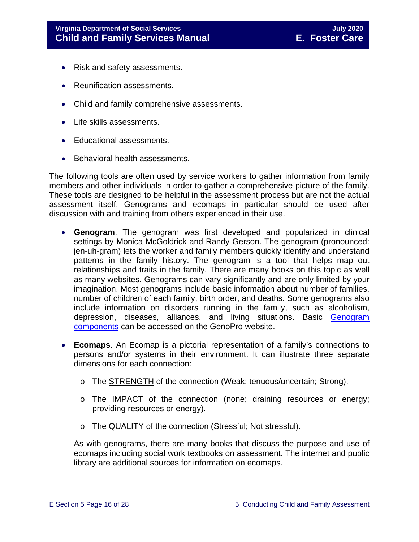- Risk and safety assessments.
- Reunification assessments.
- Child and family comprehensive assessments.
- Life skills assessments.
- Educational assessments.
- Behavioral health assessments.

The following tools are often used by service workers to gather information from family members and other individuals in order to gather a comprehensive picture of the family. These tools are designed to be helpful in the assessment process but are not the actual assessment itself. Genograms and ecomaps in particular should be used after discussion with and training from others experienced in their use.

- **Genogram**. The genogram was first developed and popularized in clinical settings by Monica McGoldrick and Randy Gerson. The genogram (pronounced: jen-uh-gram) lets the worker and family members quickly identify and understand patterns in the family history. The genogram is a tool that helps map out relationships and traits in the family. There are many books on this topic as well as many websites. Genograms can vary significantly and are only limited by your imagination. Most genograms include basic information about number of families, number of children of each family, birth order, and deaths. Some genograms also include information on disorders running in the family, such as alcoholism, depression, diseases, alliances, and living situations. Basic [Genogram](http://www.genopro.com/genogram_components/default.htm)  [components](http://www.genopro.com/genogram_components/default.htm) can be accessed on the GenoPro website.
- **Ecomaps**. An Ecomap is a pictorial representation of a family's connections to persons and/or systems in their environment. It can illustrate three separate dimensions for each connection:
	- o The STRENGTH of the connection (Weak; tenuous/uncertain; Strong).
	- o The IMPACT of the connection (none; draining resources or energy; providing resources or energy).
	- o The QUALITY of the connection (Stressful; Not stressful).

As with genograms, there are many books that discuss the purpose and use of ecomaps including social work textbooks on assessment. The internet and public library are additional sources for information on ecomaps.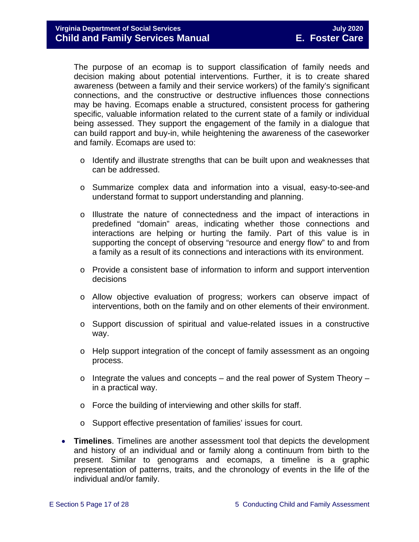The purpose of an ecomap is to support classification of family needs and decision making about potential interventions. Further, it is to create shared awareness (between a family and their service workers) of the family's significant connections, and the constructive or destructive influences those connections may be having. Ecomaps enable a structured, consistent process for gathering specific, valuable information related to the current state of a family or individual being assessed. They support the engagement of the family in a dialogue that can build rapport and buy-in, while heightening the awareness of the caseworker and family. Ecomaps are used to:

- o Identify and illustrate strengths that can be built upon and weaknesses that can be addressed.
- o Summarize complex data and information into a visual, easy-to-see-and understand format to support understanding and planning.
- o Illustrate the nature of connectedness and the impact of interactions in predefined "domain" areas, indicating whether those connections and interactions are helping or hurting the family. Part of this value is in supporting the concept of observing "resource and energy flow" to and from a family as a result of its connections and interactions with its environment.
- o Provide a consistent base of information to inform and support intervention decisions
- o Allow objective evaluation of progress; workers can observe impact of interventions, both on the family and on other elements of their environment.
- o Support discussion of spiritual and value-related issues in a constructive way.
- o Help support integration of the concept of family assessment as an ongoing process.
- $\circ$  Integrate the values and concepts and the real power of System Theory in a practical way.
- o Force the building of interviewing and other skills for staff.
- o Support effective presentation of families' issues for court.
- **Timelines**. Timelines are another assessment tool that depicts the development and history of an individual and or family along a continuum from birth to the present. Similar to genograms and ecomaps, a timeline is a graphic representation of patterns, traits, and the chronology of events in the life of the individual and/or family.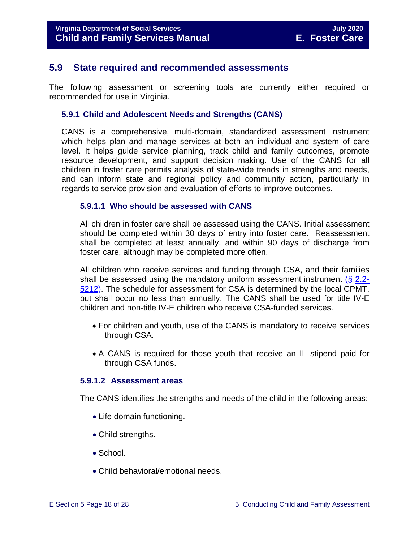# <span id="page-17-0"></span>**5.9 State required and recommended assessments**

The following assessment or screening tools are currently either required or recommended for use in Virginia.

#### <span id="page-17-1"></span>**5.9.1 Child and Adolescent Needs and Strengths (CANS)**

CANS is a comprehensive, multi-domain, standardized assessment instrument which helps plan and manage services at both an individual and system of care level. It helps guide service planning, track child and family outcomes, promote resource development, and support decision making. Use of the CANS for all children in foster care permits analysis of state-wide trends in strengths and needs, and can inform state and regional policy and community action, particularly in regards to service provision and evaluation of efforts to improve outcomes.

#### <span id="page-17-2"></span>**5.9.1.1 Who should be assessed with CANS**

All children in foster care shall be assessed using the CANS. Initial assessment should be completed within 30 days of entry into foster care. Reassessment shall be completed at least annually, and within 90 days of discharge from foster care, although may be completed more often.

All children who receive services and funding through CSA, and their families shall be assessed using the mandatory uniform assessment instrument  $(8, 2.2)$ [5212\)](https://law.lis.virginia.gov/vacode/2.2-5212/). The schedule for assessment for CSA is determined by the local CPMT, but shall occur no less than annually. The CANS shall be used for title IV-E children and non-title IV-E children who receive CSA-funded services.

- For children and youth, use of the CANS is mandatory to receive services through CSA.
- A CANS is required for those youth that receive an IL stipend paid for through CSA funds.

#### <span id="page-17-3"></span>**5.9.1.2 Assessment areas**

The CANS identifies the strengths and needs of the child in the following areas:

- Life domain functioning.
- Child strengths.
- School.
- Child behavioral/emotional needs.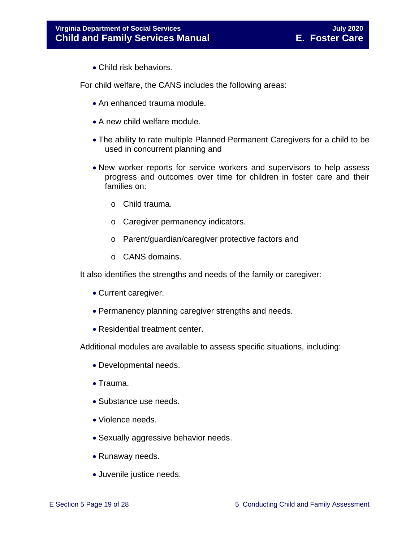• Child risk behaviors.

For child welfare, the CANS includes the following areas:

- An enhanced trauma module.
- A new child welfare module.
- The ability to rate multiple Planned Permanent Caregivers for a child to be used in concurrent planning and
- New worker reports for service workers and supervisors to help assess progress and outcomes over time for children in foster care and their families on:
	- o Child trauma.
	- o Caregiver permanency indicators.
	- o Parent/guardian/caregiver protective factors and
	- o CANS domains.

It also identifies the strengths and needs of the family or caregiver:

- Current caregiver.
- Permanency planning caregiver strengths and needs.
- Residential treatment center.

Additional modules are available to assess specific situations, including:

- Developmental needs.
- Trauma.
- Substance use needs.
- Violence needs.
- Sexually aggressive behavior needs.
- Runaway needs.
- Juvenile justice needs.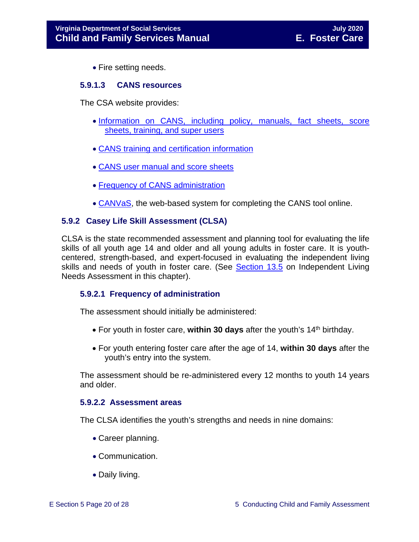• Fire setting needs.

#### <span id="page-19-0"></span>**5.9.1.3 CANS resources**

The CSA website provides:

- [Information on CANS, including policy, manuals, fact sheets, score](http://www.csa.virginia.gov/html/CANS/cans.cfm)  [sheets, training, and super users](http://www.csa.virginia.gov/html/CANS/cans.cfm)
- [CANS training and certification information](http://www.csa.virginia.gov/html/CANS/CANS_training.cfm)
- [CANS user manual and score sheets](http://www.csa.virginia.gov/html/CANS/cans_documents.cfm)
- [Frequency of CANS administration](http://www.csa.virginia.gov/html/CANS/CANS%20Policy.cfm)
- [CANVaS,](http://www.csa.virginia.gov/html/CANS/canvas.cfm) the web-based system for completing the CANS tool online.

#### <span id="page-19-1"></span>**5.9.2 Casey Life Skill Assessment (CLSA)**

CLSA is the state recommended assessment and planning tool for evaluating the life skills of all youth age 14 and older and all young adults in foster care. It is youthcentered, strength-based, and expert-focused in evaluating the independent living skills and needs of youth in foster care. (See [Section](https://fusion.dss.virginia.gov/Portals/%5bdfs%5d/Files/DFS%20Manuals/Foster%20Care%20Manuals/Foster%20Care%20Manual%2007-2020/Final%20Foster%20Care%20Manual%2007-2020/Section_13_achieving_permanency_for_older_youth.pdf#page=11) 13.5 on Independent Living Needs Assessment in this chapter).

#### <span id="page-19-2"></span>**5.9.2.1 Frequency of administration**

The assessment should initially be administered:

- For youth in foster care, within 30 days after the youth's 14<sup>th</sup> birthday.
- For youth entering foster care after the age of 14, **within 30 days** after the youth's entry into the system.

The assessment should be re-administered every 12 months to youth 14 years and older.

#### <span id="page-19-3"></span>**5.9.2.2 Assessment areas**

The CLSA identifies the youth's strengths and needs in nine domains:

- Career planning.
- Communication.
- Daily living.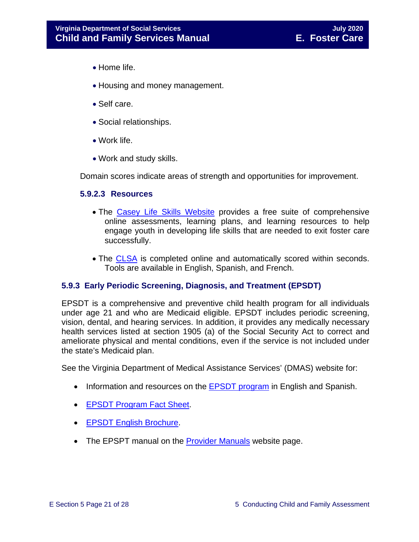- Home life.
- Housing and money management.
- Self care.
- Social relationships.
- Work life.
- Work and study skills.

Domain scores indicate areas of strength and opportunities for improvement.

#### <span id="page-20-0"></span>**5.9.2.3 Resources**

- The [Casey Life Skills Website](http://www.casey.org/Resources/Tools/cls/default.htm) provides a free suite of comprehensive online assessments, learning plans, and learning resources to help engage youth in developing life skills that are needed to exit foster care successfully.
- The [CLSA](http://lifeskills.casey.org/) is completed online and automatically scored within seconds. Tools are available in English, Spanish, and French.

#### <span id="page-20-1"></span>**5.9.3 Early Periodic Screening, Diagnosis, and Treatment (EPSDT)**

EPSDT is a comprehensive and preventive child health program for all individuals under age 21 and who are Medicaid eligible. EPSDT includes periodic screening, vision, dental, and hearing services. In addition, it provides any medically necessary health services listed at section 1905 (a) of the Social Security Act to correct and ameliorate physical and mental conditions, even if the service is not included under the state's Medicaid plan.

See the Virginia Department of Medical Assistance Services' (DMAS) website for:

- Information and resources on the **EPSDT** program in English and Spanish.
- [EPSDT Program Fact Sheet.](http://www.dmas.virginia.gov/Content_atchs/mch/mch-epsdt_fs.pdf)
- [EPSDT English Brochure.](http://www.dmas.virginia.gov/Content_atchs/mch/mch-epsdt_breng.pdf)
- The EPSPT manual on the [Provider Manuals](https://www.virginiamedicaid.dmas.virginia.gov/wps/portal/ProviderManual) website page.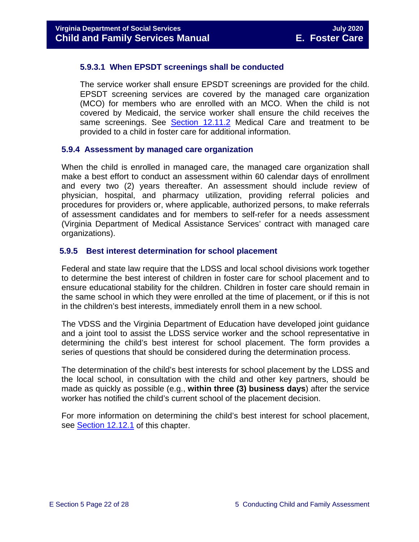#### <span id="page-21-0"></span>**5.9.3.1 When EPSDT screenings shall be conducted**

The service worker shall ensure EPSDT screenings are provided for the child. EPSDT screening services are covered by the managed care organization (MCO) for members who are enrolled with an MCO. When the child is not covered by Medicaid, the service worker shall ensure the child receives the same screenings. See [Section 12.11.2](https://fusion.dss.virginia.gov/Portals/%5bdfs%5d/Files/DFS%20Manuals/Foster%20Care%20Manuals/Foster%20Care%20Manual%2007-2020/Final%20Foster%20Care%20Manual%2007-2020/section_12_identifying_services_to_be_provided.pdf#page=22) Medical Care and treatment to be provided to a child in foster care for additional information.

#### <span id="page-21-1"></span>**5.9.4 Assessment by managed care organization**

When the child is enrolled in managed care, the managed care organization shall make a best effort to conduct an assessment within 60 calendar days of enrollment and every two (2) years thereafter. An assessment should include review of physician, hospital, and pharmacy utilization, providing referral policies and procedures for providers or, where applicable, authorized persons, to make referrals of assessment candidates and for members to self-refer for a needs assessment (Virginia Department of Medical Assistance Services' contract with managed care organizations).

#### <span id="page-21-2"></span>**5.9.5 Best interest determination for school placement**

Federal and state law require that the LDSS and local school divisions work together to determine the best interest of children in foster care for school placement and to ensure educational stability for the children. Children in foster care should remain in the same school in which they were enrolled at the time of placement, or if this is not in the children's best interests, immediately enroll them in a new school.

The VDSS and the Virginia Department of Education have developed joint guidance and a joint tool to assist the LDSS service worker and the school representative in determining the child's best interest for school placement. The form provides a series of questions that should be considered during the determination process.

The determination of the child's best interests for school placement by the LDSS and the local school, in consultation with the child and other key partners, should be made as quickly as possible (e.g., **within three (3) business days**) after the service worker has notified the child's current school of the placement decision.

For more information on determining the child's best interest for school placement, see [Section](https://fusion.dss.virginia.gov/Portals/%5bdfs%5d/Files/DFS%20Manuals/Foster%20Care%20Manuals/Foster%20Care%20Manual%2007-2019/section_12_identifying_services_to_be_provided.pdf#page=50) 12.12.1 of this chapter.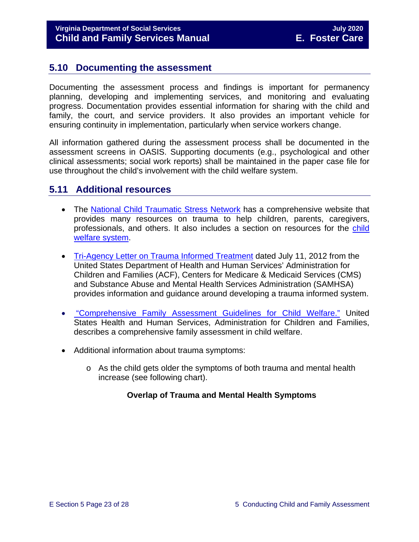# <span id="page-22-0"></span>**5.10 Documenting the assessment**

Documenting the assessment process and findings is important for permanency planning, developing and implementing services, and monitoring and evaluating progress. Documentation provides essential information for sharing with the child and family, the court, and service providers. It also provides an important vehicle for ensuring continuity in implementation, particularly when service workers change.

All information gathered during the assessment process shall be documented in the assessment screens in OASIS. Supporting documents (e.g., psychological and other clinical assessments; social work reports) shall be maintained in the paper case file for use throughout the child's involvement with the child welfare system.

# <span id="page-22-1"></span>**5.11 Additional resources**

- The [National Child Traumatic Stress Network](http://www.nctsn.org/) has a comprehensive website that provides many resources on trauma to help children, parents, caregivers, professionals, and others. It also includes a section on resources for the child [welfare system.](http://www.nctsn.org/resources/topics/child-welfare-system)
- [Tri-Agency Letter on Trauma Informed Treatment](http://www.medicaid.gov/Federal-Policy-Guidance/Downloads/SMD-13-07-11.pdf) dated July 11, 2012 from the United States Department of Health and Human Services' Administration for Children and Families (ACF), Centers for Medicare & Medicaid Services (CMS) and Substance Abuse and Mental Health Services Administration (SAMHSA) provides information and guidance around developing a trauma informed system.
- "Comprehensive [Family Assessment Guidelines for Child](http://www.acf.hhs.gov/sites/default/files/cb/family_assessment.pdf) Welfare." United States Health and Human Services, Administration for Children and Families, describes a comprehensive family assessment in child welfare.
- Additional information about trauma symptoms:
	- $\circ$  As the child gets older the symptoms of both trauma and mental health increase (see following chart).

#### **Overlap of Trauma and Mental Health Symptoms**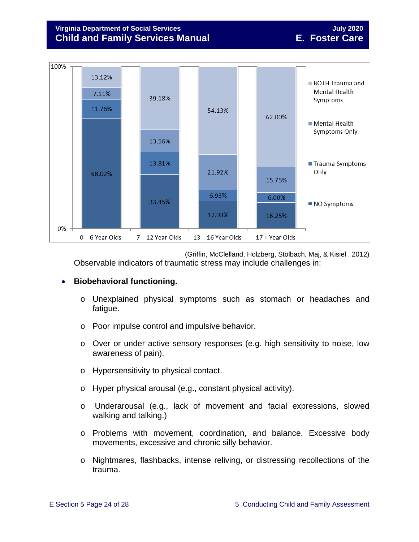#### **Virginia Department of Social Services July 2020 Child and Family Services Manual E. Foster Care**



(Griffin, McClelland, Holzberg, Stolbach, Maj, & Kisiel , 2012) Observable indicators of traumatic stress may include challenges in:

#### • **Biobehavioral functioning.**

- o Unexplained physical symptoms such as stomach or headaches and fatigue.
- o Poor impulse control and impulsive behavior.
- o Over or under active sensory responses (e.g. high sensitivity to noise, low awareness of pain).
- o Hypersensitivity to physical contact.
- o Hyper physical arousal (e.g., constant physical activity).
- o Underarousal (e.g., lack of movement and facial expressions, slowed walking and talking.)
- o Problems with movement, coordination, and balance. Excessive body movements, excessive and chronic silly behavior.
- o Nightmares, flashbacks, intense reliving, or distressing recollections of the trauma.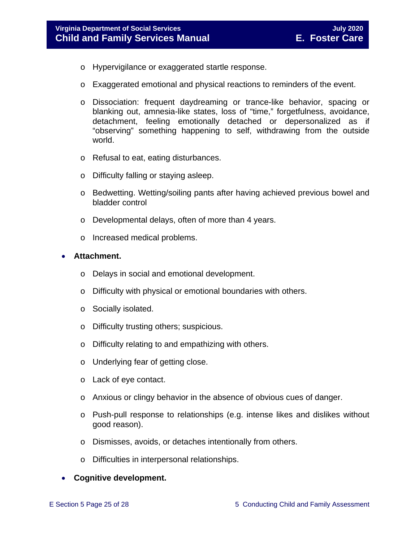- o Hypervigilance or exaggerated startle response.
- o Exaggerated emotional and physical reactions to reminders of the event.
- o Dissociation: frequent daydreaming or trance-like behavior, spacing or blanking out, amnesia-like states, loss of "time," forgetfulness, avoidance, detachment, feeling emotionally detached or depersonalized as if "observing" something happening to self, withdrawing from the outside world.
- o Refusal to eat, eating disturbances.
- o Difficulty falling or staying asleep.
- o Bedwetting. Wetting/soiling pants after having achieved previous bowel and bladder control
- o Developmental delays, often of more than 4 years.
- o Increased medical problems.

#### • **Attachment.**

- o Delays in social and emotional development.
- o Difficulty with physical or emotional boundaries with others.
- o Socially isolated.
- o Difficulty trusting others; suspicious.
- o Difficulty relating to and empathizing with others.
- o Underlying fear of getting close.
- o Lack of eye contact.
- o Anxious or clingy behavior in the absence of obvious cues of danger.
- o Push-pull response to relationships (e.g. intense likes and dislikes without good reason).
- o Dismisses, avoids, or detaches intentionally from others.
- o Difficulties in interpersonal relationships.

#### • **Cognitive development.**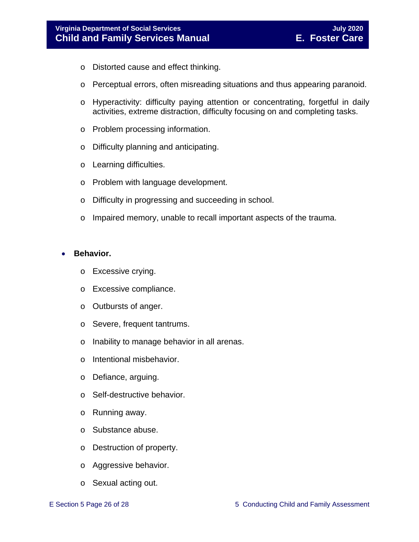- o Distorted cause and effect thinking.
- o Perceptual errors, often misreading situations and thus appearing paranoid.
- o Hyperactivity: difficulty paying attention or concentrating, forgetful in daily activities, extreme distraction, difficulty focusing on and completing tasks.
- o Problem processing information.
- o Difficulty planning and anticipating.
- o Learning difficulties.
- o Problem with language development.
- o Difficulty in progressing and succeeding in school.
- o Impaired memory, unable to recall important aspects of the trauma.

#### • **Behavior.**

- o Excessive crying.
- o Excessive compliance.
- o Outbursts of anger.
- o Severe, frequent tantrums.
- o Inability to manage behavior in all arenas.
- o Intentional misbehavior.
- o Defiance, arguing.
- o Self-destructive behavior.
- o Running away.
- o Substance abuse.
- o Destruction of property.
- o Aggressive behavior.
- o Sexual acting out.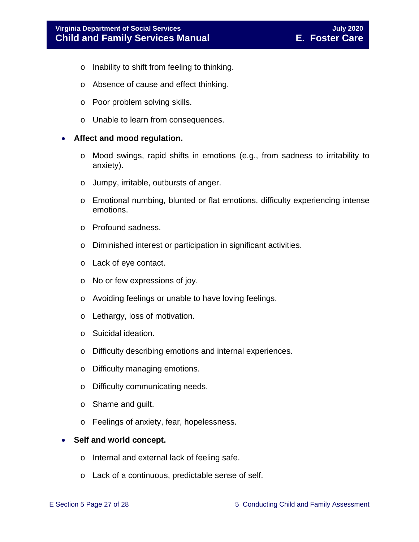- o Inability to shift from feeling to thinking.
- o Absence of cause and effect thinking.
- o Poor problem solving skills.
- o Unable to learn from consequences.

#### • **Affect and mood regulation.**

- o Mood swings, rapid shifts in emotions (e.g., from sadness to irritability to anxiety).
- o Jumpy, irritable, outbursts of anger.
- o Emotional numbing, blunted or flat emotions, difficulty experiencing intense emotions.
- o Profound sadness.
- o Diminished interest or participation in significant activities.
- o Lack of eye contact.
- o No or few expressions of joy.
- o Avoiding feelings or unable to have loving feelings.
- o Lethargy, loss of motivation.
- o Suicidal ideation.
- o Difficulty describing emotions and internal experiences.
- o Difficulty managing emotions.
- o Difficulty communicating needs.
- o Shame and guilt.
- o Feelings of anxiety, fear, hopelessness.

#### • **Self and world concept.**

- o Internal and external lack of feeling safe.
- o Lack of a continuous, predictable sense of self.